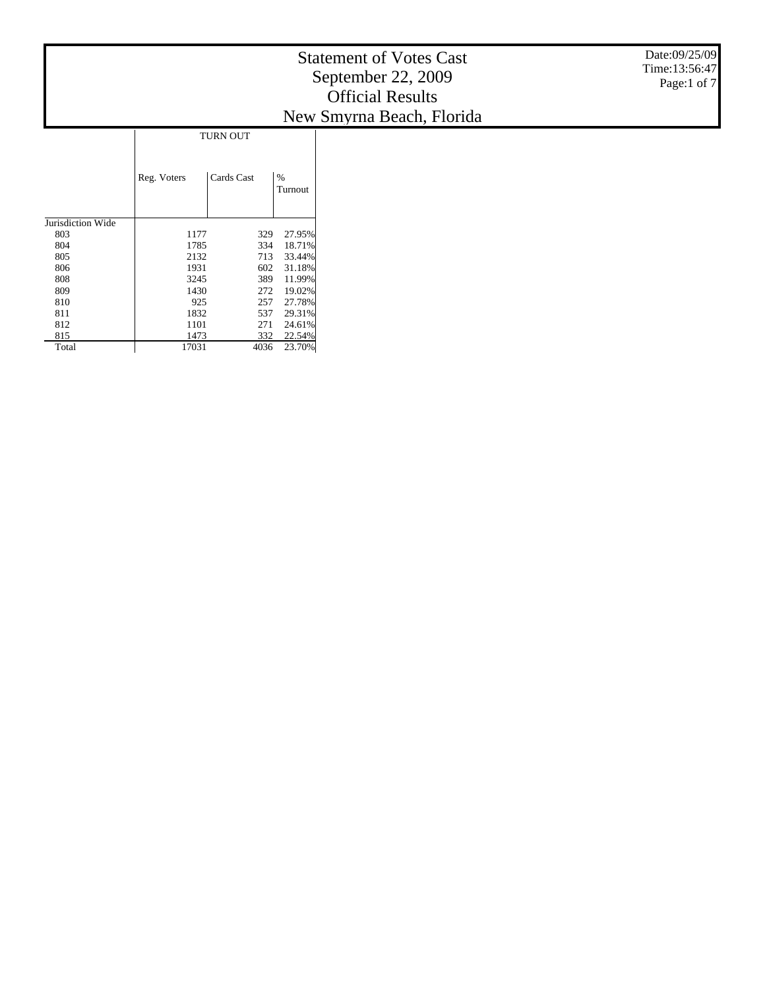|                   |             |                 |                  | <b>Statement of Votes Cast</b><br>September 22, 2009<br><b>Official Results</b><br>New Smyrna Beach, Florida | Date:09/25/09<br>Time: 13:56:47<br>Page:1 of 7 |
|-------------------|-------------|-----------------|------------------|--------------------------------------------------------------------------------------------------------------|------------------------------------------------|
|                   |             | <b>TURN OUT</b> |                  |                                                                                                              |                                                |
|                   | Reg. Voters | Cards Cast      | $\%$<br>Turnout  |                                                                                                              |                                                |
| Jurisdiction Wide |             |                 |                  |                                                                                                              |                                                |
| 803               | 1177        | 329             | 27.95%           |                                                                                                              |                                                |
| 804               | 1785        | 334             | 18.71%           |                                                                                                              |                                                |
| 805               | 2132        | 713             | 33.44%           |                                                                                                              |                                                |
| 806               | 1931        | 602             | 31.18%           |                                                                                                              |                                                |
| 808               | 3245        | 389             | 11.99%           |                                                                                                              |                                                |
| 809               | 1430        | 272             | 19.02%           |                                                                                                              |                                                |
| 810<br>811        | 925<br>1832 | 257             | 27.78%           |                                                                                                              |                                                |
| 812               | 1101        | 537<br>271      | 29.31%<br>24.61% |                                                                                                              |                                                |
| 815               | 1473        | 332             | 22.54%           |                                                                                                              |                                                |
| Total             | 17031       | 4036            | 23.70%           |                                                                                                              |                                                |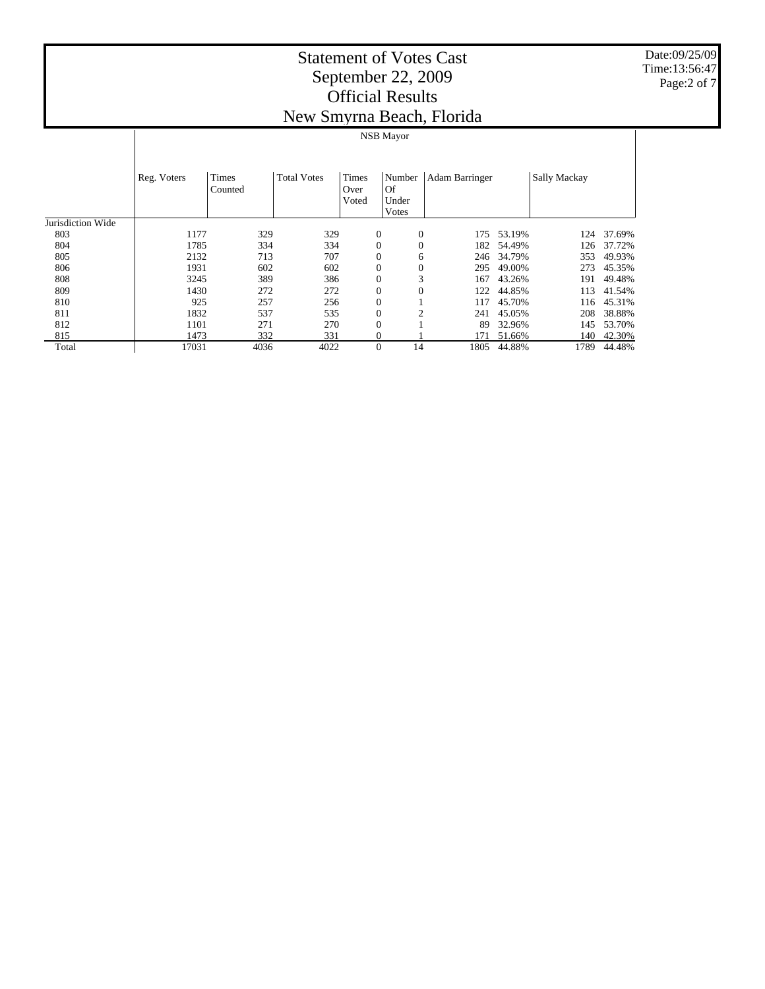## Statement of Votes Cast September 22, 2009 Official Results New Smyrna Beach, Florida

Date:09/25/09 Time:13:56:47 Page:2 of 7

|                   |             |                         |                    |                        |                                       | Tww.philipina.peach, Florida |        |              |        |
|-------------------|-------------|-------------------------|--------------------|------------------------|---------------------------------------|------------------------------|--------|--------------|--------|
|                   |             | <b>NSB</b> Mayor        |                    |                        |                                       |                              |        |              |        |
|                   | Reg. Voters | <b>Times</b><br>Counted | <b>Total Votes</b> | Times<br>Over<br>Voted | Number<br><b>Of</b><br>Under<br>Votes | Adam Barringer               |        | Sally Mackay |        |
| Jurisdiction Wide |             |                         |                    |                        |                                       |                              |        |              |        |
| 803               | 1177        | 329                     | 329                |                        | $\overline{0}$<br>$\theta$            | 175                          | 53.19% | 124          | 37.69% |
| 804               | 1785        | 334                     | 334                |                        | $\overline{0}$<br>$\overline{0}$      | 182                          | 54.49% | 126          | 37.72% |
| 805               | 2132        | 713                     | 707                |                        | 0<br>6                                | 246                          | 34.79% | 353          | 49.93% |
| 806               | 1931        | 602                     | 602                |                        | 0<br>0                                | 295                          | 49.00% | 273          | 45.35% |
| 808               | 3245        | 389                     | 386                |                        | 3<br>0                                | 167                          | 43.26% | 191          | 49.48% |
| 809               | 1430        | 272                     | 272                |                        | $\overline{0}$<br>$\overline{0}$      | 122                          | 44.85% | 113          | 41.54% |
| 810               | 925         | 257                     | 256                |                        | $\overline{0}$                        | 117                          | 45.70% | 116          | 45.31% |
| 811               | 1832        | 537                     | 535                |                        | $\overline{c}$<br>$\overline{0}$      | 241                          | 45.05% | 208          | 38.88% |
| 812               | 1101        | 271                     | 270                |                        | 0                                     | 89                           | 32.96% | 145          | 53.70% |
| 815               | 1473        | 332                     | 331                |                        | 0                                     | 171                          | 51.66% | 140          | 42.30% |
| Total             | 17031       | 4036                    | 4022               |                        | $\overline{0}$<br>14                  | 1805                         | 44.88% | 1789         | 44.48% |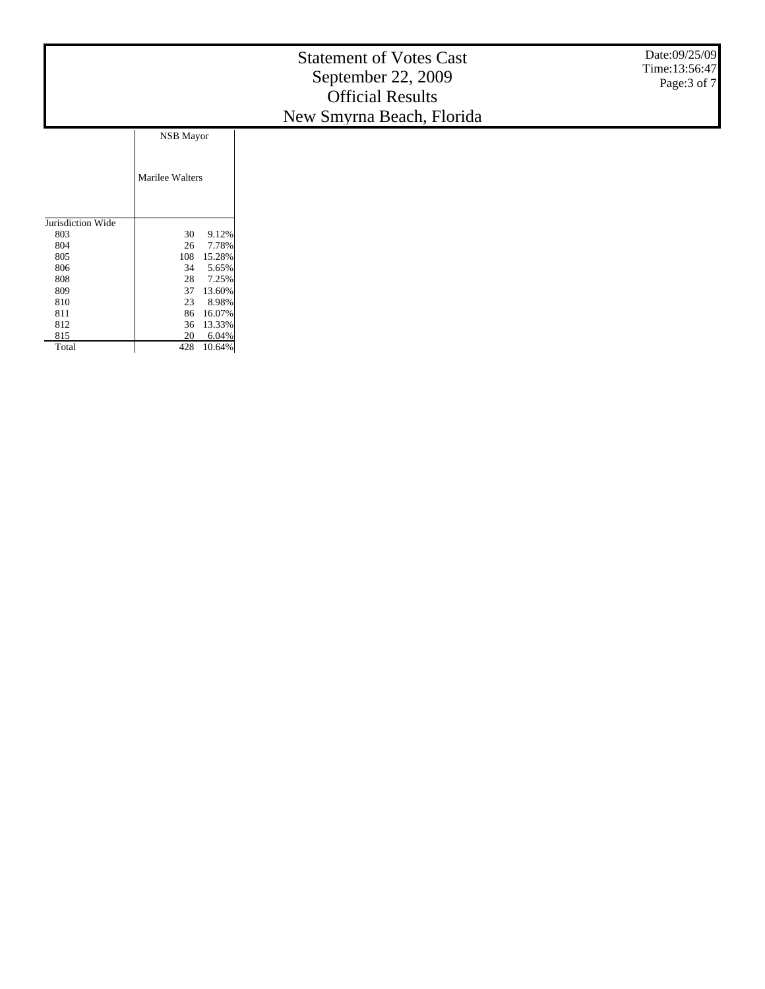|                   |                  | <b>Statement of Votes Cast</b><br>September 22, 2009<br><b>Official Results</b><br>New Smyrna Beach, Florida | Date:09/25/09<br>Time: 13:56:47<br>Page:3 of 7 |
|-------------------|------------------|--------------------------------------------------------------------------------------------------------------|------------------------------------------------|
|                   | <b>NSB</b> Mayor |                                                                                                              |                                                |
| Jurisdiction Wide | Marilee Walters  |                                                                                                              |                                                |
| 803               | 9.12%<br>30      |                                                                                                              |                                                |
| 804               | 7.78%<br>26      |                                                                                                              |                                                |
| 805               | 108<br>15.28%    |                                                                                                              |                                                |
| 806               | 5.65%<br>34      |                                                                                                              |                                                |
| 808               | 7.25%<br>28      |                                                                                                              |                                                |
| 809               | 37<br>13.60%     |                                                                                                              |                                                |
| 810               | 23<br>8.98%      |                                                                                                              |                                                |
| 811               | 16.07%<br>86     |                                                                                                              |                                                |
| 812               | 13.33%<br>36     |                                                                                                              |                                                |
| 815               | 20<br>6.04%      |                                                                                                              |                                                |
| Total             | 428<br>10.64%    |                                                                                                              |                                                |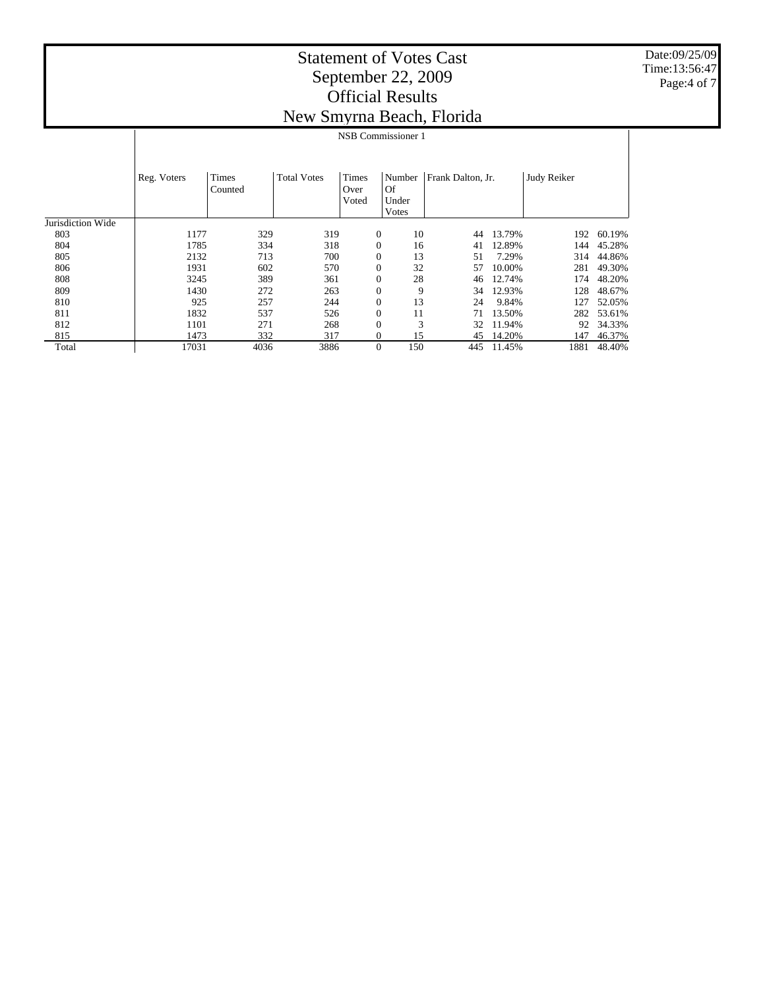## Statement of Votes Cast September 22, 2009 Official Results New Smyrna Beach, Florida

Date:09/25/09 Time:13:56:47 Page:4 of 7

|                   |                    |                  |                    |                               |                                       | Tww Dillying Deach, I forfad |        |             |        |
|-------------------|--------------------|------------------|--------------------|-------------------------------|---------------------------------------|------------------------------|--------|-------------|--------|
|                   | NSB Commissioner 1 |                  |                    |                               |                                       |                              |        |             |        |
|                   | Reg. Voters        | Times<br>Counted | <b>Total Votes</b> | <b>Times</b><br>Over<br>Voted | Number<br><b>Of</b><br>Under<br>Votes | Frank Dalton, Jr.            |        | Judy Reiker |        |
| Jurisdiction Wide |                    |                  |                    |                               |                                       |                              |        |             |        |
| 803               | 1177               | 329              | 319                |                               | $\theta$<br>10                        | 44                           | 13.79% | 192         | 60.19% |
| 804               | 1785               | 334              | 318                |                               | $\theta$<br>16                        | 41                           | 12.89% | 144         | 45.28% |
| 805               | 2132               | 713              | 700                |                               | $\theta$<br>13                        | 51                           | 7.29%  | 314         | 44.86% |
| 806               | 1931               | 602              | 570                |                               | 32<br>$\theta$                        | 57                           | 10.00% | 281         | 49.30% |
| 808               | 3245               | 389              | 361                |                               | 28<br>$\overline{0}$                  | 46                           | 12.74% | 174         | 48.20% |
| 809               | 1430               | 272              | 263                |                               | $\theta$                              | 9<br>34                      | 12.93% | 128         | 48.67% |
| 810               | 925                | 257              | 244                |                               | $\mathbf{0}$<br>13                    | 24                           | 9.84%  | 127         | 52.05% |
| 811               | 1832               | 537              | 526                |                               | $\mathbf{0}$<br>11                    | 71                           | 13.50% | 282         | 53.61% |
| 812               | 1101               | 271              | 268                |                               | 0                                     | 3<br>32                      | 11.94% | 92          | 34.33% |
| 815               | 1473               | 332              | 317                |                               | 0<br>15                               | 45                           | 14.20% | 147         | 46.37% |
| Total             | 17031              | 4036             | 3886               |                               | $\theta$<br>150                       | 445                          | 11.45% | 1881        | 48.40% |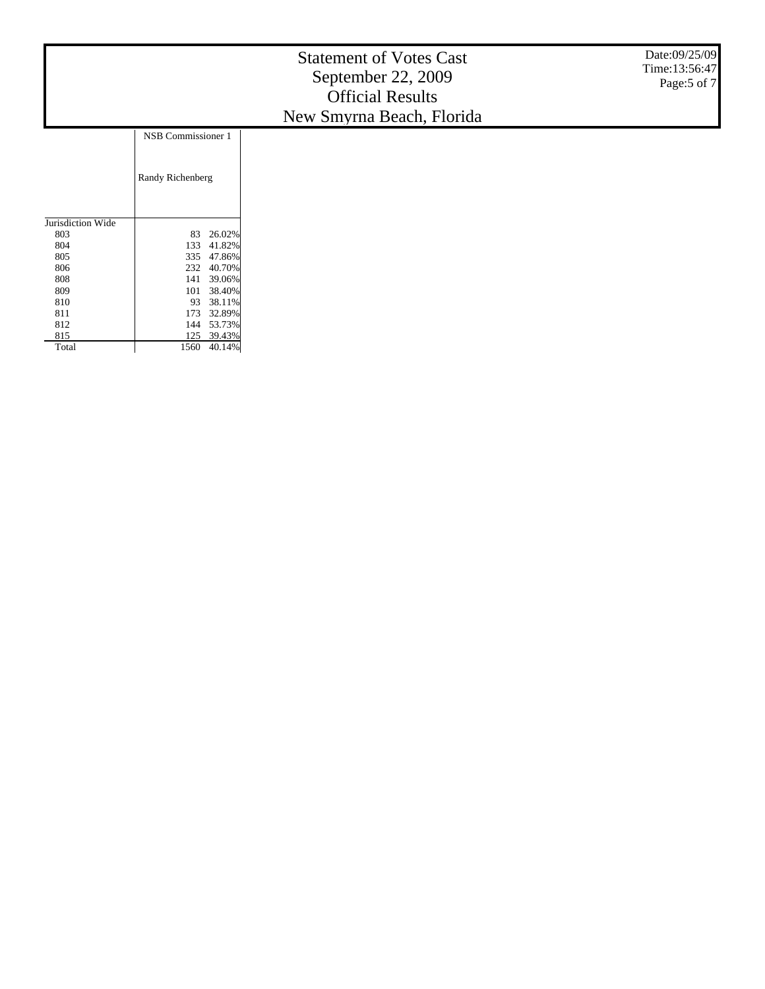|                   |                    | <b>Statement of Votes Cast</b><br>September 22, 2009<br><b>Official Results</b><br>New Smyrna Beach, Florida | Date:09/25/09<br>Time: 13:56:47<br>Page:5 of 7 |
|-------------------|--------------------|--------------------------------------------------------------------------------------------------------------|------------------------------------------------|
|                   | NSB Commissioner 1 |                                                                                                              |                                                |
|                   | Randy Richenberg   |                                                                                                              |                                                |
| Jurisdiction Wide |                    |                                                                                                              |                                                |
| 803               | 26.02%<br>83       |                                                                                                              |                                                |
| 804               | 41.82%<br>133      |                                                                                                              |                                                |
| 805               | 47.86%<br>335      |                                                                                                              |                                                |
| 806               | 40.70%<br>232      |                                                                                                              |                                                |
| 808               | 39.06%<br>141      |                                                                                                              |                                                |
| 809               | 38.40%<br>101      |                                                                                                              |                                                |
| 810               | 38.11%<br>93       |                                                                                                              |                                                |
| 811               | 32.89%<br>173      |                                                                                                              |                                                |
| 812               | 53.73%<br>144      |                                                                                                              |                                                |
| 815               | 125 39.43%         |                                                                                                              |                                                |

Total

40.14%

Т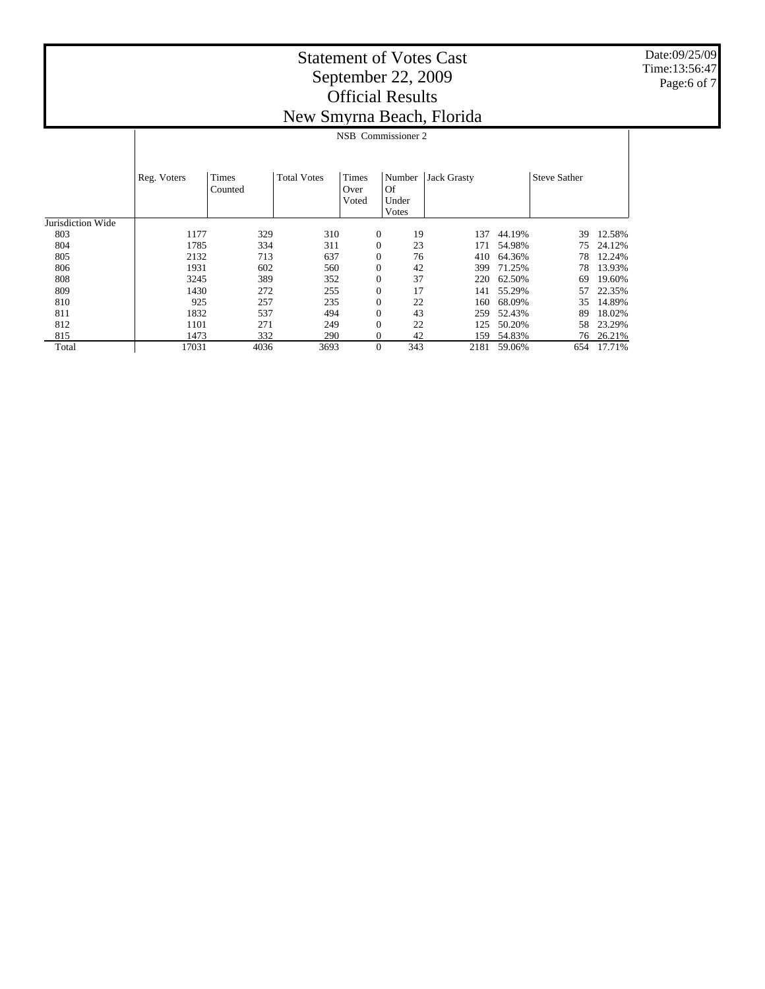## Statement of Votes Cast September 22, 2009 Official Results New Smyrna Beach, Florida

Date:09/25/09 Time:13:56:47 Page:6 of 7

|                   |             |                         |                    |                               |                              | Tww.phry.ma.pouvn, I forfad |        |                     |        |
|-------------------|-------------|-------------------------|--------------------|-------------------------------|------------------------------|-----------------------------|--------|---------------------|--------|
|                   |             |                         |                    |                               | NSB Commissioner 2           |                             |        |                     |        |
|                   | Reg. Voters | <b>Times</b><br>Counted | <b>Total Votes</b> | <b>Times</b><br>Over<br>Voted | Number<br><b>Of</b><br>Under | Jack Grasty                 |        | <b>Steve Sather</b> |        |
|                   |             |                         |                    |                               | Votes                        |                             |        |                     |        |
| Jurisdiction Wide |             |                         |                    |                               |                              |                             |        |                     |        |
| 803               | 1177        | 329                     | 310                |                               | $\theta$<br>19               | 137                         | 44.19% | 39                  | 12.58% |
| 804               | 1785        | 334                     | 311                |                               | $\overline{0}$<br>23         | 171                         | 54.98% | 75                  | 24.12% |
| 805               | 2132        | 713                     | 637                |                               | $\theta$<br>76               | 410                         | 64.36% | 78                  | 12.24% |
| 806               | 1931        | 602                     | 560                |                               | 42<br>$\theta$               | 399                         | 71.25% | 78                  | 13.93% |
| 808               | 3245        | 389                     | 352                |                               | 37<br>$\overline{0}$         | 220                         | 62.50% | 69                  | 19.60% |
| 809               | 1430        | 272                     | 255                |                               | 17<br>$\overline{0}$         | 141                         | 55.29% | 57                  | 22.35% |
| 810               | 925         | 257                     | 235                |                               | $\overline{0}$<br>22         | 160                         | 68.09% | 35                  | 14.89% |
| 811               | 1832        | 537                     | 494                |                               | $\boldsymbol{0}$<br>43       | 259                         | 52.43% | 89                  | 18.02% |
| 812               | 1101        | 271                     | 249                |                               | $\overline{0}$<br>22         | 125                         | 50.20% | 58                  | 23.29% |
| 815               | 1473        | 332                     | 290                |                               | 42<br>$\theta$               | 159                         | 54.83% | 76                  | 26.21% |
| Total             | 17031       | 4036                    | 3693               |                               | 343<br>$\overline{0}$        | 2181                        | 59.06% | 654                 | 17.71% |